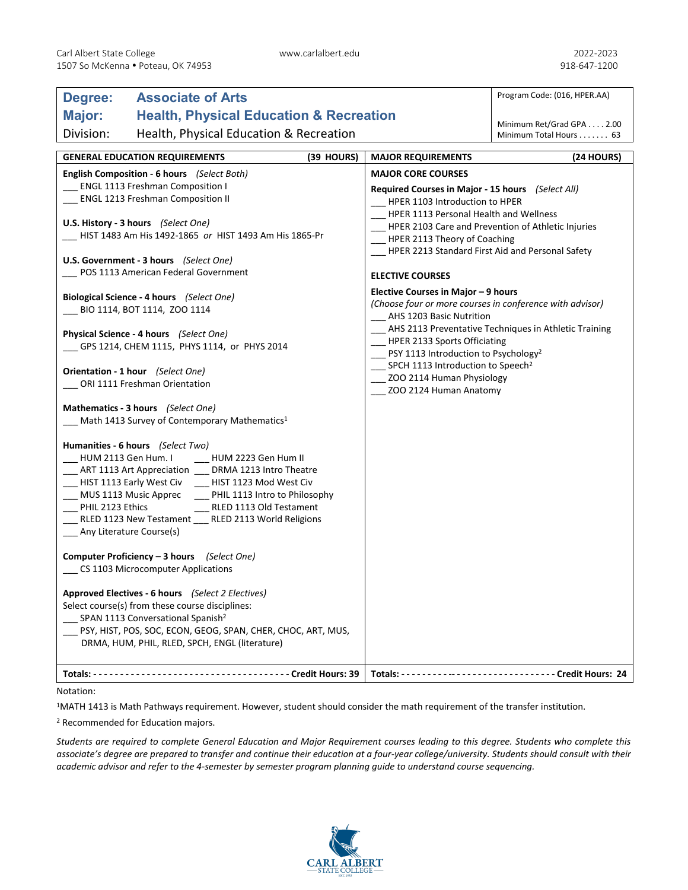## **Degree: Associate of Arts Major: Health, Physical Education & Recreation** Division: Health, Physical Education & Recreation Program Code: (016, HPER.AA) Minimum Ret/Grad GPA . . . . 2.00 Minimum Total Hours . . . . . . . 63 **GENERAL EDUCATION REQUIREMENTS (39 HOURS) MAJOR REQUIREMENTS (24 HOURS) English Composition - 6 hours** *(Select Both)* \_\_\_ ENGL 1113 Freshman Composition I \_\_\_ ENGL 1213 Freshman Composition II **U.S. History - 3 hours** *(Select One) \_\_\_* HIST 1483 Am His 1492-1865 *or* HIST 1493 Am His 1865-Pr **U.S. Government - 3 hours** *(Select One) \_\_\_* POS 1113 American Federal Government **Biological Science - 4 hours** *(Select One)* \_\_\_ BIO 1114, BOT 1114, ZOO 1114 **Physical Science - 4 hours** *(Select One)* \_\_\_ GPS 1214, CHEM 1115, PHYS 1114, or PHYS 2014 **Orientation - 1 hour** *(Select One)* \_\_\_ ORI 1111 Freshman Orientation **Mathematics - 3 hours** *(Select One)* <sup>1</sup>Math 1413 Survey of Contemporary Mathematics<sup>1</sup> **Humanities - 6 hours** *(Select Two)* \_\_\_ HUM 2113 Gen Hum. I \_\_\_ HUM 2223 Gen Hum II \_\_\_ ART 1113 Art Appreciation \_\_\_ DRMA 1213 Intro Theatre \_\_\_ HIST 1113 Early West Civ \_\_\_ HIST 1123 Mod West Civ \_\_\_ MUS 1113 Music Apprec \_\_\_ PHIL 1113 Intro to Philosophy PHIL 2123 Ethics RLED 1113 Old Testament RLED 1123 New Testament \_\_\_ RLED 2113 World Religions \_\_\_ Any Literature Course(s) **Computer Proficiency – 3 hours** *(Select One)* \_\_\_ CS 1103 Microcomputer Applications **Approved Electives - 6 hours** *(Select 2 Electives)* Select course(s) from these course disciplines: \_\_\_ SPAN 1113 Conversational Spanish<sup>2</sup> \_\_\_ PSY, HIST, POS, SOC, ECON, GEOG, SPAN, CHER, CHOC, ART, MUS, DRMA, HUM, PHIL, RLED, SPCH, ENGL (literature) **MAJOR CORE COURSES Required Courses in Major - 15 hours** *(Select All)* HPER 1103 Introduction to HPER HPER 1113 Personal Health and Wellness \_\_\_ HPER 2103 Care and Prevention of Athletic Injuries HPER 2113 Theory of Coaching \_\_\_ HPER 2213 Standard First Aid and Personal Safety **ELECTIVE COURSES Elective Courses in Major – 9 hours**  *(Choose four or more courses in conference with advisor)* AHS 1203 Basic Nutrition \_\_\_ AHS 2113 Preventative Techniques in Athletic Training \_\_\_ HPER 2133 Sports Officiating PSY 1113 Introduction to Psychology<sup>2</sup> SPCH 1113 Introduction to Speech<sup>2</sup> ZOO 2114 Human Physiology \_ ZOO 2124 Human Anatomy **Totals: - - - - - - - - - - - - - - - - - - - - - - - - - - - - - - - - - - - - - Credit Hours: 39 Totals: - - - - - - - - - -- - - - - - - - - - - - - - - - - - - - Credit Hours: 24**

## Notation:

1MATH 1413 is Math Pathways requirement. However, student should consider the math requirement of the transfer institution.

<sup>2</sup> Recommended for Education majors.

*Students are required to complete General Education and Major Requirement courses leading to this degree. Students who complete this associate's degree are prepared to transfer and continue their education at a four-year college/university. Students should consult with their academic advisor and refer to the 4-semester by semester program planning guide to understand course sequencing.*